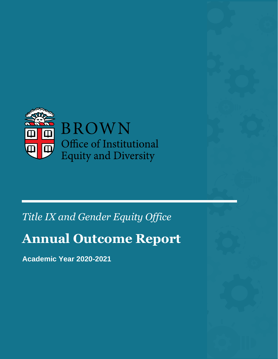

## *Title IX and Gender Equity Office*

# **Annual Outcome Report**

**Academic Year 2020-2021**

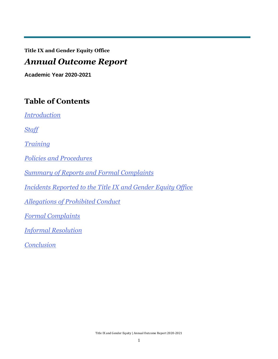**Title IX and Gender Equity Office**

### *Annual Outcome Report*

**Academic Year 2020-2021**

### **Table of Contents**

*Introduction*

*Staff*

*Training*

*Policies and Procedures*

*Summary of Reports and Formal Complaints*

*Incidents Reported to the Title IX and Gender Equity Office*

*Allegations of Prohibited Conduct*

*Formal Complaints*

*Informal Resolution*

*Conclusion*

Title IX and Gender Equity | Annual Outcome Report 2020-2021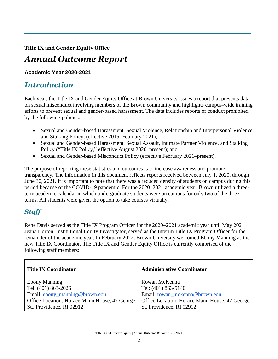**Title IX and Gender Equity Office**

### *Annual Outcome Report*

#### **Academic Year 2020-2021**

### *Introduction*

Each year, the Title IX and Gender Equity Office at Brown University issues a report that presents data on sexual misconduct involving members of the Brown community and highlights campus-wide training efforts to prevent sexual and gender-based harassment. The data includes reports of conduct prohibited by the following policies:

- Sexual and Gender-based Harassment, Sexual Violence, Relationship and Interpersonal Violence and Stalking Policy, (effective 2015–February 2021);
- Sexual and Gender-based Harassment, Sexual Assault, Intimate Partner Violence, and Stalking Policy ("Title IX Policy," effective August 2020–present); and
- Sexual and Gender-based Misconduct Policy (effective February 2021–present).

The purpose of reporting these statistics and outcomes is to increase awareness and promote transparency. The information in this document reflects reports received between July 1, 2020, through June 30, 2021. It is important to note that there was a reduced density of students on campus during this period because of the COVID-19 pandemic. For the 2020–2021 academic year, Brown utilized a threeterm academic calendar in which undergraduate students were on campus for only two of the three terms. All students were given the option to take courses virtually.

### *Staff*

Rene Davis served as the Title IX Program Officer for the 2020–2021 academic year until May 2021. Jeana Horton, Institutional Equity Investigator, served as the Interim Title IX Program Officer for the remainder of the academic year. In February 2022, Brown University welcomed Ebony Manning as the new Title IX Coordinator. The Title IX and Gender Equity Office is currently comprised of the following staff members:

| <b>Title IX Coordinator</b>                   | <b>Administrative Coordinator</b>             |
|-----------------------------------------------|-----------------------------------------------|
|                                               |                                               |
| <b>Ebony Manning</b>                          | Rowan McKenna                                 |
| Tel: (401) 863-2026                           | Tel: (401) 863-5140                           |
| Email: ebony_manning@brown.edu                | Email: rowan_mckenna@brown.edu                |
| Office Location: Horace Mann House, 47 George | Office Location: Horace Mann House, 47 George |
| St., Providence, RI 02912                     | St, Providence, RI 02912                      |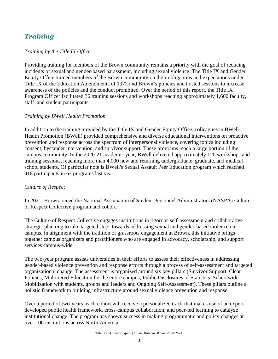### *Training*

#### *Training by the Title IX Office*

Providing training for members of the Brown community remains a priority with the goal of reducing incidents of sexual and gender-based harassment, including sexual violence. The Title IX and Gender Equity Office trained members of the Brown community on their obligations and expectations under Title IX of the Education Amendments of 1972 and Brown's policies and hosted sessions to increase awareness of the policies and the conduct prohibited. Over the period of this report, the Title IX Program Officer facilitated 36 training sessions and workshops reaching approximately 1,600 faculty, staff, and student participants.

#### *Training by BWell Health Promotion*

In addition to the training provided by the Title IX and Gender Equity Office, colleagues in BWell Health Promotion (BWell) provided comprehensive and diverse educational interventions on proactive prevention and response across the spectrum of interpersonal violence, covering topics including consent, bystander intervention, and survivor support. These programs reach a large portion of the campus community. In the 2020-21 academic year, BWell delivered approximately 120 workshops and training sessions, reaching more than 4,000 new and returning undergraduate, graduate, and medical school students. Of particular note is BWell's Sexual Assault Peer Education program which reached 418 participants in 67 programs last year.

#### *Culture of Respect*

In 2021, Brown joined the National Association of Student Personnel Administrators (NASPA) Culture of Respect Collective program and cohort.

The Culture of Respect Collective engages institutions in rigorous self-assessment and collaborative strategic planning to take targeted steps towards addressing sexual and gender-based violence on campus. In alignment with the tradition of grassroots engagement at Brown, this initiative brings together campus organizers and practitioners who are engaged in advocacy, scholarship, and support services campus-wide.

The two-year program assists universities in their efforts to assess their effectiveness in addressing gender-based violence prevention and response efforts through a process of self-assessment and targeted organizational change. The assessment is organized around six key pillars (Survivor Support, Clear Policies, Multitiered Education for the entire campus, Public Disclosures of Statistics, Schoolwide Mobilization with students, groups and leaders and Ongoing Self-Assessment). These pillars outline a holistic framework to building infrastructure around sexual violence prevention and response.

Over a period of two-years, each cohort will receive a personalized track that makes use of an expertdeveloped public health framework, cross-campus collaboration, and peer-led learning to catalyze institutional change. The program has shown success in making programmatic and policy changes at over 100 institutions across North America.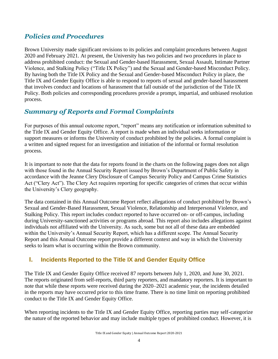### *Policies and Procedures*

Brown University made significant revisions to its policies and complaint procedures between August 2020 and February 2021. At present, the University has two policies and two procedures in place to address prohibited conduct: the Sexual and Gender-based Harassment, Sexual Assault, Intimate Partner Violence, and Stalking Policy ("Title IX Policy") and the Sexual and Gender-based Misconduct Policy. By having both the Title IX Policy and the Sexual and Gender-based Misconduct Policy in place, the Title IX and Gender Equity Office is able to respond to reports of sexual and gender-based harassment that involves conduct and locations of harassment that fall outside of the jurisdiction of the Title IX Policy. Both policies and corresponding procedures provide a prompt, impartial, and unbiased resolution process.

### *Summary of Reports and Formal Complaints*

For purposes of this annual outcome report, "report" means any notification or information submitted to the Title IX and Gender Equity Office. A report is made when an individual seeks information or support measures or informs the University of conduct prohibited by the policies. A formal complaint is a written and signed request for an investigation and initiation of the informal or formal resolution process.

It is important to note that the data for reports found in the charts on the following pages does not align with those found in the Annual Security Report issued by Brown's Department of Public Safety in accordance with the Jeanne Clery Disclosure of Campus Security Policy and Campus Crime Statistics Act ("Clery Act"). The Clery Act requires reporting for specific categories of crimes that occur within the University's Clery geography.

The data contained in this Annual Outcome Report reflect allegations of conduct prohibited by Brown's Sexual and Gender-Based Harassment, Sexual Violence, Relationship and Interpersonal Violence, and Stalking Policy. This report includes conduct reported to have occurred on- or off-campus, including during University-sanctioned activities or programs abroad. This report also includes allegations against individuals not affiliated with the University. As such, some but not all of these data are embedded within the University's Annual Security Report, which has a different scope. The Annual Security Report and this Annual Outcome report provide a different context and way in which the University seeks to learn what is occurring within the Brown community.

### **I. Incidents Reported to the Title IX and Gender Equity Office**

The Title IX and Gender Equity Office received 87 reports between July 1, 2020, and June 30, 2021. The reports originated from self-reports, third party reporters, and mandatory reporters. It is important to note that while these reports were received during the 2020–2021 academic year, the incidents detailed in the reports may have occurred prior to this time frame. There is no time limit on reporting prohibited conduct to the Title IX and Gender Equity Office.

When reporting incidents to the Title IX and Gender Equity Office, reporting parties may self-categorize the nature of the reported behavior and may include multiple types of prohibited conduct. However, it is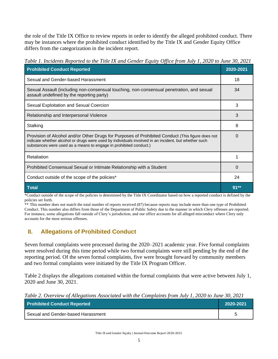the role of the Title IX Office to review reports in order to identify the alleged prohibited conduct. There may be instances where the prohibited conduct identified by the Title IX and Gender Equity Office differs from the categorization in the incident report.

*Table 1. Incidents Reported to the Title IX and Gender Equity Office from July 1, 2020 to June 30, 2021*

| <b>Prohibited Conduct Reported</b>                                                                                                                                                                                                                                            | 2020-2021 |
|-------------------------------------------------------------------------------------------------------------------------------------------------------------------------------------------------------------------------------------------------------------------------------|-----------|
| Sexual and Gender-based Harassment                                                                                                                                                                                                                                            | 18        |
| Sexual Assault (including non-consensual touching, non-consensual penetration, and sexual<br>assault undefined by the reporting party)                                                                                                                                        | 34        |
| Sexual Exploitation and Sexual Coercion                                                                                                                                                                                                                                       | 3         |
| Relationship and Interpersonal Violence                                                                                                                                                                                                                                       | 3         |
| Stalking                                                                                                                                                                                                                                                                      | 8         |
| Provision of Alcohol and/or Other Drugs for Purposes of Prohibited Conduct (This figure does not<br>indicate whether alcohol or drugs were used by individuals involved in an incident, but whether such<br>substances were used as a means to engage in prohibited conduct.) | O         |
| Retaliation                                                                                                                                                                                                                                                                   |           |
| Prohibited Consensual Sexual or Intimate Relationship with a Student                                                                                                                                                                                                          | 0         |
| Conduct outside of the scope of the policies*                                                                                                                                                                                                                                 | 24        |
| <b>Total</b>                                                                                                                                                                                                                                                                  | $91**$    |

\*Conduct outside of the scope of the policies is determined by the Title IX Coordinator based on how a reported conduct is defined by the policies set forth.

\*\* This number does not match the total number of reports received (87) because reports may include more than one type of Prohibited Conduct. This number also differs from those of the Department of Public Safety due to the manner in which Clery offenses are reported. For instance, some allegations fall outside of Clery's jurisdiction, and our office accounts for all alleged misconduct where Clery only accounts for the most serious offenses.

### **II. Allegations of Prohibited Conduct**

Seven formal complaints were processed during the 2020–2021 academic year. Five formal complaints were resolved during this time period while two formal complaints were still pending by the end of the reporting period. Of the seven formal complaints, five were brought forward by community members and two formal complaints were initiated by the Title IX Program Officer.

Table 2 displays the allegations contained within the formal complaints that were active between July 1, 2020 and June 30, 2021.

*Table 2. Overview of Allegations Associated with the Complaints from July 1, 2020 to June 30, 2021*

| <b>Prohibited Conduct Reported</b> | 2020-2021 |
|------------------------------------|-----------|
| Sexual and Gender-based Harassment |           |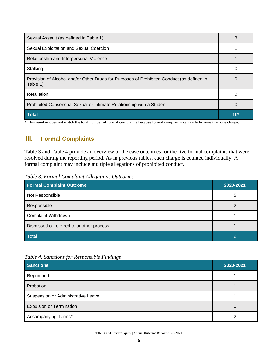| Sexual Assault (as defined in Table 1)                                                                | 3            |
|-------------------------------------------------------------------------------------------------------|--------------|
| Sexual Exploitation and Sexual Coercion                                                               |              |
| Relationship and Interpersonal Violence                                                               |              |
| Stalking                                                                                              |              |
| Provision of Alcohol and/or Other Drugs for Purposes of Prohibited Conduct (as defined in<br>Table 1) | $\mathbf{U}$ |
| Retaliation                                                                                           |              |
| Prohibited Consensual Sexual or Intimate Relationship with a Student                                  | $\Omega$     |
| <b>Total</b>                                                                                          | $10*$        |

\* This number does not match the total number of formal complaints because formal complaints can include more than one charge.

### **III. Formal Complaints**

Table 3 and Table 4 provide an overview of the case outcomes for the five formal complaints that were resolved during the reporting period. As in previous tables, each charge is counted individually. A formal complaint may include multiple allegations of prohibited conduct.

*Table 3. Formal Complaint Allegations Outcomes*

| <b>Formal Complaint Outcome</b>          | 2020-2021 |
|------------------------------------------|-----------|
| Not Responsible                          | 5         |
| Responsible                              |           |
| Complaint Withdrawn                      |           |
| Dismissed or referred to another process |           |
| Total                                    | 9         |

| Table 4. Sanctions for Responsible Findings |  |  |
|---------------------------------------------|--|--|
|                                             |  |  |

| <b>Sanctions</b>                   | 2020-2021 |
|------------------------------------|-----------|
| Reprimand                          |           |
| Probation                          |           |
| Suspension or Administrative Leave |           |
| <b>Expulsion or Termination</b>    | U         |
| Accompanying Terms*                |           |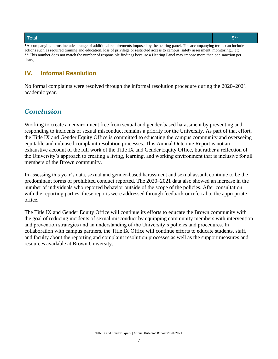#### Total  $5^{**}$

\*Accompanying terms include a range of additional requirements imposed by the hearing panel. The accompanying terms can include actions such as required training and education, loss of privilege or restricted access to campus, safety assessment, monitoring…etc. \*\* This number does not match the number of responsible findings because a Hearing Panel may impose more than one sanction per charge.

#### **IV. Informal Resolution**

No formal complaints were resolved through the informal resolution procedure during the 2020–2021 academic year.

#### *Conclusion*

Working to create an environment free from sexual and gender-based harassment by preventing and responding to incidents of sexual misconduct remains a priority for the University. As part of that effort, the Title IX and Gender Equity Office is committed to educating the campus community and overseeing equitable and unbiased complaint resolution processes. This Annual Outcome Report is not an exhaustive account of the full work of the Title IX and Gender Equity Office, but rather a reflection of the University's approach to creating a living, learning, and working environment that is inclusive for all members of the Brown community.

In assessing this year's data, sexual and gender-based harassment and sexual assault continue to be the predominant forms of prohibited conduct reported. The 2020–2021 data also showed an increase in the number of individuals who reported behavior outside of the scope of the policies. After consultation with the reporting parties, these reports were addressed through feedback or referral to the appropriate office.

The Title IX and Gender Equity Office will continue its efforts to educate the Brown community with the goal of reducing incidents of sexual misconduct by equipping community members with intervention and prevention strategies and an understanding of the University's policies and procedures. In collaboration with campus partners, the Title IX Office will continue efforts to educate students, staff, and faculty about the reporting and complaint resolution processes as well as the support measures and resources available at Brown University.